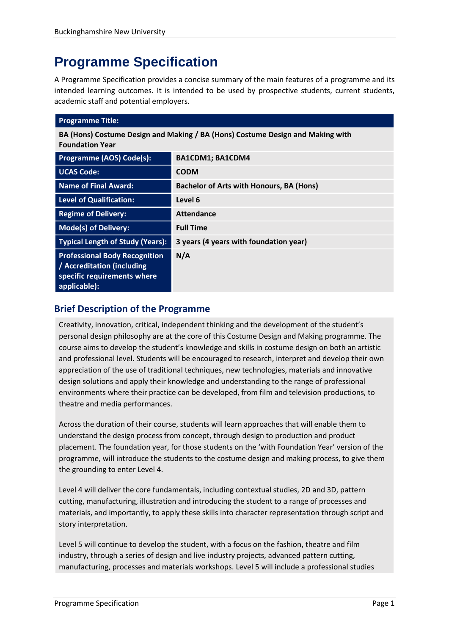# **Programme Specification**

A Programme Specification provides a concise summary of the main features of a programme and its intended learning outcomes. It is intended to be used by prospective students, current students, academic staff and potential employers.

| <b>Programme Title:</b>                                                                                           |                                          |  |
|-------------------------------------------------------------------------------------------------------------------|------------------------------------------|--|
| BA (Hons) Costume Design and Making / BA (Hons) Costume Design and Making with<br><b>Foundation Year</b>          |                                          |  |
| Programme (AOS) Code(s):                                                                                          | BA1CDM1; BA1CDM4                         |  |
| <b>UCAS Code:</b>                                                                                                 | <b>CODM</b>                              |  |
| <b>Name of Final Award:</b>                                                                                       | Bachelor of Arts with Honours, BA (Hons) |  |
| <b>Level of Qualification:</b>                                                                                    | Level 6                                  |  |
| <b>Regime of Delivery:</b>                                                                                        | Attendance                               |  |
| <b>Mode(s) of Delivery:</b>                                                                                       | <b>Full Time</b>                         |  |
| <b>Typical Length of Study (Years):</b>                                                                           | 3 years (4 years with foundation year)   |  |
| <b>Professional Body Recognition</b><br>/ Accreditation (including<br>specific requirements where<br>applicable): | N/A                                      |  |

# **Brief Description of the Programme**

Creativity, innovation, critical, independent thinking and the development of the student's personal design philosophy are at the core of this Costume Design and Making programme. The course aims to develop the student's knowledge and skills in costume design on both an artistic and professional level. Students will be encouraged to research, interpret and develop their own appreciation of the use of traditional techniques, new technologies, materials and innovative design solutions and apply their knowledge and understanding to the range of professional environments where their practice can be developed, from film and television productions, to theatre and media performances.

Across the duration of their course, students will learn approaches that will enable them to understand the design process from concept, through design to production and product placement. The foundation year, for those students on the 'with Foundation Year' version of the programme, will introduce the students to the costume design and making process, to give them the grounding to enter Level 4.

Level 4 will deliver the core fundamentals, including contextual studies, 2D and 3D, pattern cutting, manufacturing, illustration and introducing the student to a range of processes and materials, and importantly, to apply these skills into character representation through script and story interpretation.

Level 5 will continue to develop the student, with a focus on the fashion, theatre and film industry, through a series of design and live industry projects, advanced pattern cutting, manufacturing, processes and materials workshops. Level 5 will include a professional studies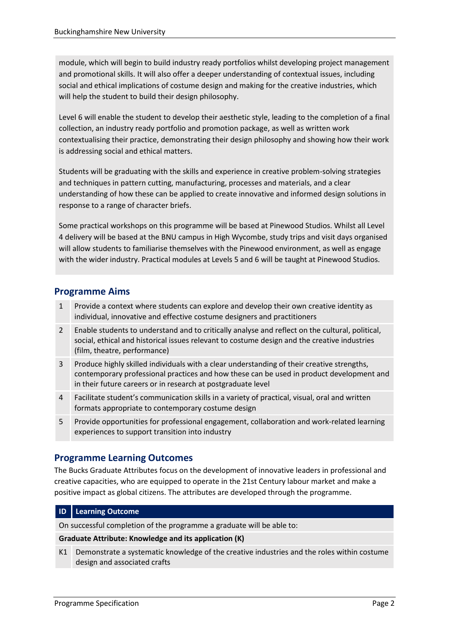module, which will begin to build industry ready portfolios whilst developing project management and promotional skills. It will also offer a deeper understanding of contextual issues, including social and ethical implications of costume design and making for the creative industries, which will help the student to build their design philosophy.

Level 6 will enable the student to develop their aesthetic style, leading to the completion of a final collection, an industry ready portfolio and promotion package, as well as written work contextualising their practice, demonstrating their design philosophy and showing how their work is addressing social and ethical matters.

Students will be graduating with the skills and experience in creative problem-solving strategies and techniques in pattern cutting, manufacturing, processes and materials, and a clear understanding of how these can be applied to create innovative and informed design solutions in response to a range of character briefs.

Some practical workshops on this programme will be based at Pinewood Studios. Whilst all Level 4 delivery will be based at the BNU campus in High Wycombe, study trips and visit days organised will allow students to familiarise themselves with the Pinewood environment, as well as engage with the wider industry. Practical modules at Levels 5 and 6 will be taught at Pinewood Studios.

# **Programme Aims**

- 1 Provide a context where students can explore and develop their own creative identity as individual, innovative and effective costume designers and practitioners
- 2 Enable students to understand and to critically analyse and reflect on the cultural, political, social, ethical and historical issues relevant to costume design and the creative industries (film, theatre, performance)
- 3 Produce highly skilled individuals with a clear understanding of their creative strengths, contemporary professional practices and how these can be used in product development and in their future careers or in research at postgraduate level
- 4 Facilitate student's communication skills in a variety of practical, visual, oral and written formats appropriate to contemporary costume design
- 5 Provide opportunities for professional engagement, collaboration and work-related learning experiences to support transition into industry

# **Programme Learning Outcomes**

The Bucks Graduate Attributes focus on the development of innovative leaders in professional and creative capacities, who are equipped to operate in the 21st Century labour market and make a positive impact as global citizens. The attributes are developed through the programme.

## **ID Learning Outcome**

On successful completion of the programme a graduate will be able to:

## **Graduate Attribute: Knowledge and its application (K)**

K1 Demonstrate a systematic knowledge of the creative industries and the roles within costume design and associated crafts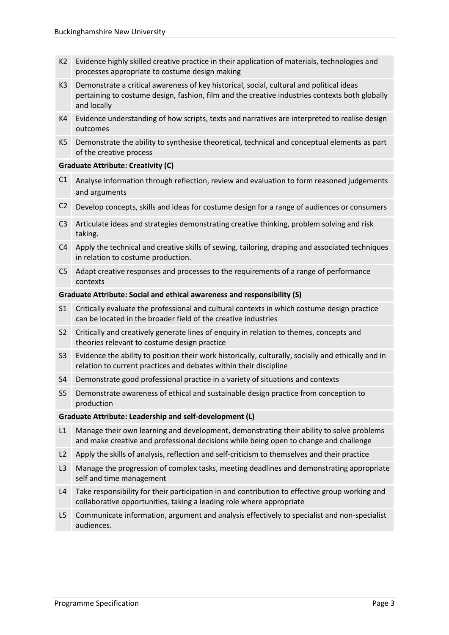- K2 Evidence highly skilled creative practice in their application of materials, technologies and processes appropriate to costume design making
- K3 Demonstrate a critical awareness of key historical, social, cultural and political ideas pertaining to costume design, fashion, film and the creative industries contexts both globally and locally
- K4 Evidence understanding of how scripts, texts and narratives are interpreted to realise design outcomes
- K5 Demonstrate the ability to synthesise theoretical, technical and conceptual elements as part of the creative process

#### **Graduate Attribute: Creativity (C)**

- C1 Analyse information through reflection, review and evaluation to form reasoned judgements and arguments
- C2 Develop concepts, skills and ideas for costume design for a range of audiences or consumers
- C3 Articulate ideas and strategies demonstrating creative thinking, problem solving and risk taking.
- C4 Apply the technical and creative skills of sewing, tailoring, draping and associated techniques in relation to costume production.
- C5 Adapt creative responses and processes to the requirements of a range of performance contexts

#### **Graduate Attribute: Social and ethical awareness and responsibility (S)**

- S1 Critically evaluate the professional and cultural contexts in which costume design practice can be located in the broader field of the creative industries
- S2 Critically and creatively generate lines of enquiry in relation to themes, concepts and theories relevant to costume design practice
- S3 Evidence the ability to position their work historically, culturally, socially and ethically and in relation to current practices and debates within their discipline
- S4 Demonstrate good professional practice in a variety of situations and contexts
- S5 Demonstrate awareness of ethical and sustainable design practice from conception to production

#### **Graduate Attribute: Leadership and self-development (L)**

- L1 Manage their own learning and development, demonstrating their ability to solve problems and make creative and professional decisions while being open to change and challenge
- L2 Apply the skills of analysis, reflection and self-criticism to themselves and their practice
- L3 Manage the progression of complex tasks, meeting deadlines and demonstrating appropriate self and time management
- L4 Take responsibility for their participation in and contribution to effective group working and collaborative opportunities, taking a leading role where appropriate
- L5 Communicate information, argument and analysis effectively to specialist and non-specialist audiences.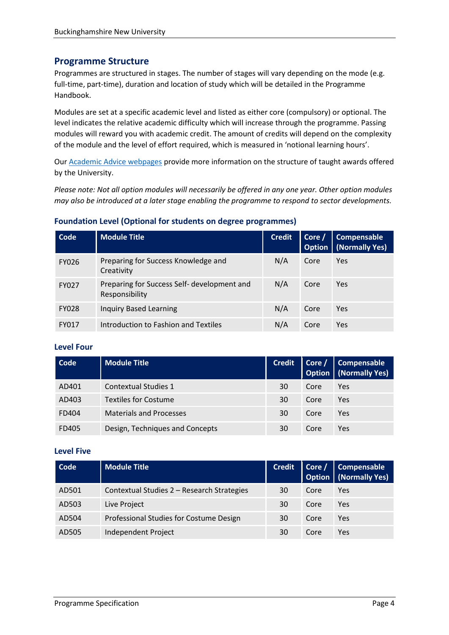# **Programme Structure**

Programmes are structured in stages. The number of stages will vary depending on the mode (e.g. full-time, part-time), duration and location of study which will be detailed in the Programme Handbook.

Modules are set at a specific academic level and listed as either core (compulsory) or optional. The level indicates the relative academic difficulty which will increase through the programme. Passing modules will reward you with academic credit. The amount of credits will depend on the complexity of the module and the level of effort required, which is measured in 'notional learning hours'.

Our [Academic Advice webpages](https://bucks.ac.uk/students/academicadvice/course-structure-and-regulations/how-your-course-is-structured) provide more information on the structure of taught awards offered by the University.

*Please note: Not all option modules will necessarily be offered in any one year. Other option modules may also be introduced at a later stage enabling the programme to respond to sector developments.*

## **Foundation Level (Optional for students on degree programmes)**

| Code         | <b>Module Title</b>                                           | <b>Credit</b> | Core / | Compensable<br><b>Option</b>   (Normally Yes) |
|--------------|---------------------------------------------------------------|---------------|--------|-----------------------------------------------|
| <b>FY026</b> | Preparing for Success Knowledge and<br>Creativity             | N/A           | Core   | Yes                                           |
| <b>FY027</b> | Preparing for Success Self- development and<br>Responsibility | N/A           | Core   | <b>Yes</b>                                    |
| <b>FY028</b> | <b>Inquiry Based Learning</b>                                 | N/A           | Core   | <b>Yes</b>                                    |
| <b>FY017</b> | Introduction to Fashion and Textiles                          | N/A           | Core   | Yes                                           |

## **Level Four**

| Code  | <b>Module Title</b>             | <b>Credit</b> |      | Core / Compensable<br><b>Option</b>   (Normally Yes) |
|-------|---------------------------------|---------------|------|------------------------------------------------------|
| AD401 | Contextual Studies 1            | 30            | Core | Yes                                                  |
| AD403 | <b>Textiles for Costume</b>     | 30            | Core | Yes                                                  |
| FD404 | <b>Materials and Processes</b>  | 30            | Core | Yes                                                  |
| FD405 | Design, Techniques and Concepts | 30            | Core | Yes                                                  |

#### **Level Five**

| Code  | <b>Module Title</b>                        | <b>Credit</b> |      | Core / Compensable<br>Option   (Normally Yes) |
|-------|--------------------------------------------|---------------|------|-----------------------------------------------|
| AD501 | Contextual Studies 2 - Research Strategies | 30            | Core | Yes                                           |
| AD503 | Live Project                               | 30            | Core | Yes                                           |
| AD504 | Professional Studies for Costume Design    | 30            | Core | Yes                                           |
| AD505 | Independent Project                        | 30            | Core | Yes                                           |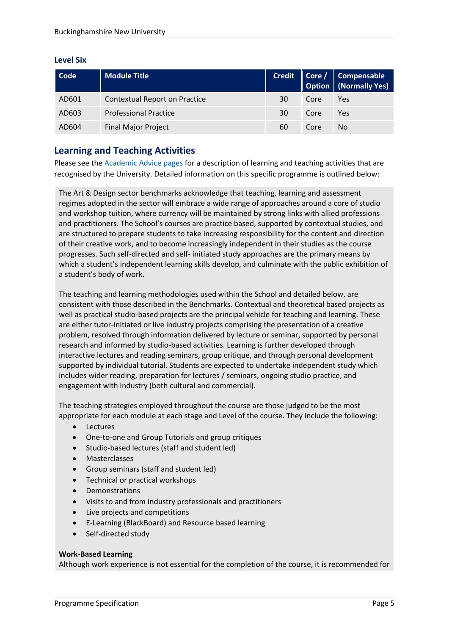## **Level Six**

| Code  | <b>Module Title</b>           |    |      | Credit Core / Compensable Option (Normally Yes) |
|-------|-------------------------------|----|------|-------------------------------------------------|
| AD601 | Contextual Report on Practice | 30 | Core | Yes                                             |
| AD603 | <b>Professional Practice</b>  | 30 | Core | Yes                                             |
| AD604 | <b>Final Major Project</b>    | 60 | Core | No                                              |

# **Learning and Teaching Activities**

Please see the [Academic Advice pages](https://bucks.ac.uk/students/academicadvice/course-structure-and-regulations/learning-and-teaching-activities) for a description of learning and teaching activities that are recognised by the University. Detailed information on this specific programme is outlined below:

The Art & Design sector benchmarks acknowledge that teaching, learning and assessment regimes adopted in the sector will embrace a wide range of approaches around a core of studio and workshop tuition, where currency will be maintained by strong links with allied professions and practitioners. The School's courses are practice based, supported by contextual studies, and are structured to prepare students to take increasing responsibility for the content and direction of their creative work, and to become increasingly independent in their studies as the course progresses. Such self-directed and self- initiated study approaches are the primary means by which a student's independent learning skills develop, and culminate with the public exhibition of a student's body of work.

The teaching and learning methodologies used within the School and detailed below, are consistent with those described in the Benchmarks. Contextual and theoretical based projects as well as practical studio-based projects are the principal vehicle for teaching and learning. These are either tutor-initiated or live industry projects comprising the presentation of a creative problem, resolved through information delivered by lecture or seminar, supported by personal research and informed by studio-based activities. Learning is further developed through interactive lectures and reading seminars, group critique, and through personal development supported by individual tutorial. Students are expected to undertake independent study which includes wider reading, preparation for lectures / seminars, ongoing studio practice, and engagement with industry (both cultural and commercial).

The teaching strategies employed throughout the course are those judged to be the most appropriate for each module at each stage and Level of the course. They include the following:

- Lectures
- One-to-one and Group Tutorials and group critiques
- Studio-based lectures (staff and student led)
- Masterclasses
- Group seminars (staff and student led)
- Technical or practical workshops
- Demonstrations
- Visits to and from industry professionals and practitioners
- Live projects and competitions
- E-Learning (BlackBoard) and Resource based learning
- Self-directed study

#### **Work-Based Learning**

Although work experience is not essential for the completion of the course, it is recommended for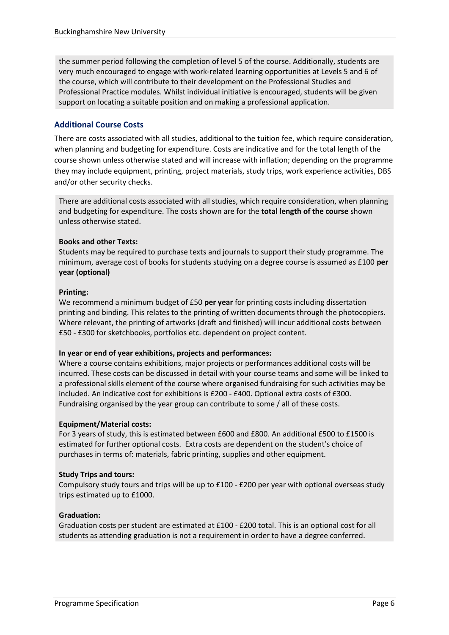the summer period following the completion of level 5 of the course. Additionally, students are very much encouraged to engage with work-related learning opportunities at Levels 5 and 6 of the course, which will contribute to their development on the Professional Studies and Professional Practice modules. Whilst individual initiative is encouraged, students will be given support on locating a suitable position and on making a professional application.

## **Additional Course Costs**

There are costs associated with all studies, additional to the tuition fee, which require consideration, when planning and budgeting for expenditure. Costs are indicative and for the total length of the course shown unless otherwise stated and will increase with inflation; depending on the programme they may include equipment, printing, project materials, study trips, work experience activities, DBS and/or other security checks.

There are additional costs associated with all studies, which require consideration, when planning and budgeting for expenditure. The costs shown are for the **total length of the course** shown unless otherwise stated.

## **Books and other Texts:**

Students may be required to purchase texts and journals to support their study programme. The minimum, average cost of books for students studying on a degree course is assumed as £100 **per year (optional)**

#### **Printing:**

We recommend a minimum budget of £50 **per year** for printing costs including dissertation printing and binding. This relates to the printing of written documents through the photocopiers. Where relevant, the printing of artworks (draft and finished) will incur additional costs between £50 - £300 for sketchbooks, portfolios etc. dependent on project content.

#### **In year or end of year exhibitions, projects and performances:**

Where a course contains exhibitions, major projects or performances additional costs will be incurred. These costs can be discussed in detail with your course teams and some will be linked to a professional skills element of the course where organised fundraising for such activities may be included. An indicative cost for exhibitions is £200 - £400. Optional extra costs of £300. Fundraising organised by the year group can contribute to some / all of these costs.

## **Equipment/Material costs:**

For 3 years of study, this is estimated between £600 and £800. An additional £500 to £1500 is estimated for further optional costs. Extra costs are dependent on the student's choice of purchases in terms of: materials, fabric printing, supplies and other equipment.

## **Study Trips and tours:**

Compulsory study tours and trips will be up to £100 - £200 per year with optional overseas study trips estimated up to £1000.

## **Graduation:**

Graduation costs per student are estimated at £100 - £200 total. This is an optional cost for all students as attending graduation is not a requirement in order to have a degree conferred.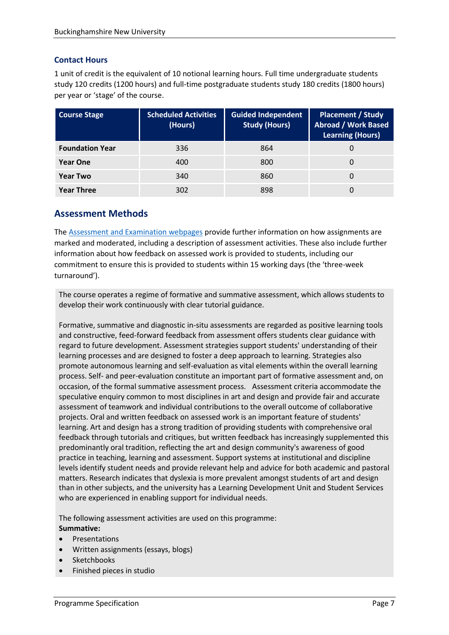## **Contact Hours**

1 unit of credit is the equivalent of 10 notional learning hours. Full time undergraduate students study 120 credits (1200 hours) and full-time postgraduate students study 180 credits (1800 hours) per year or 'stage' of the course.

| <b>Course Stage</b>    | <b>Scheduled Activities</b><br>(Hours) | <b>Guided Independent</b><br><b>Study (Hours)</b> | <b>Placement / Study</b><br><b>Abroad / Work Based</b><br><b>Learning (Hours)</b> |
|------------------------|----------------------------------------|---------------------------------------------------|-----------------------------------------------------------------------------------|
| <b>Foundation Year</b> | 336                                    | 864                                               |                                                                                   |
| <b>Year One</b>        | 400                                    | 800                                               |                                                                                   |
| <b>Year Two</b>        | 340                                    | 860                                               |                                                                                   |
| <b>Year Three</b>      | 302                                    | 898                                               |                                                                                   |

# **Assessment Methods**

The [Assessment and Examination](https://bucks.ac.uk/students/academicadvice/assessment-and-examination) webpages provide further information on how assignments are marked and moderated, including a description of assessment activities. These also include further information about how feedback on assessed work is provided to students, including our commitment to ensure this is provided to students within 15 working days (the 'three-week turnaround').

The course operates a regime of formative and summative assessment, which allows students to develop their work continuously with clear tutorial guidance.

Formative, summative and diagnostic in-situ assessments are regarded as positive learning tools and constructive, feed-forward feedback from assessment offers students clear guidance with regard to future development. Assessment strategies support students' understanding of their learning processes and are designed to foster a deep approach to learning. Strategies also promote autonomous learning and self-evaluation as vital elements within the overall learning process. Self- and peer-evaluation constitute an important part of formative assessment and, on occasion, of the formal summative assessment process. Assessment criteria accommodate the speculative enquiry common to most disciplines in art and design and provide fair and accurate assessment of teamwork and individual contributions to the overall outcome of collaborative projects. Oral and written feedback on assessed work is an important feature of students' learning. Art and design has a strong tradition of providing students with comprehensive oral feedback through tutorials and critiques, but written feedback has increasingly supplemented this predominantly oral tradition, reflecting the art and design community's awareness of good practice in teaching, learning and assessment. Support systems at institutional and discipline levels identify student needs and provide relevant help and advice for both academic and pastoral matters. Research indicates that dyslexia is more prevalent amongst students of art and design than in other subjects, and the university has a Learning Development Unit and Student Services who are experienced in enabling support for individual needs.

The following assessment activities are used on this programme: **Summative:**

- Presentations
- Written assignments (essays, blogs)
- Sketchbooks
- Finished pieces in studio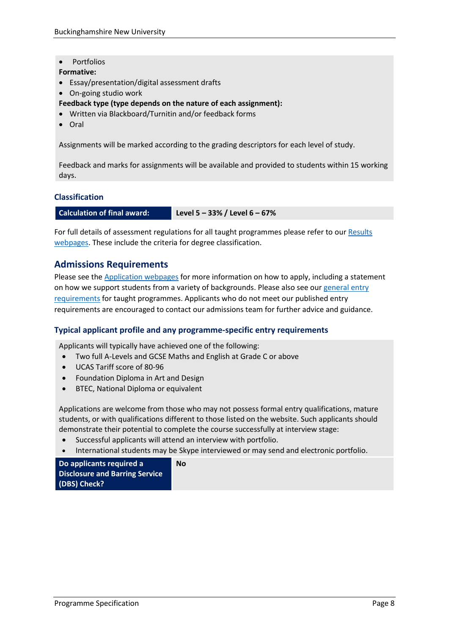Portfolios

**Formative:**

- Essay/presentation/digital assessment drafts
- On-going studio work
- **Feedback type (type depends on the nature of each assignment):**
- Written via Blackboard/Turnitin and/or feedback forms
- Oral

Assignments will be marked according to the grading descriptors for each level of study.

Feedback and marks for assignments will be available and provided to students within 15 working days.

#### **Classification**

**Calculation of final award: Level 5 – 33% / Level 6 – 67%**

For full details of assessment regulations for all taught programmes please refer to our Results [webpages.](https://bucks.ac.uk/students/academicadvice/results) These include the criteria for degree classification.

## **Admissions Requirements**

Please see the [Application webpages](https://bucks.ac.uk/applying-to-bucks) for more information on how to apply, including a statement on how we support students from a variety of backgrounds. Please also see our general entry [requirements](https://bucks.ac.uk/applying-to-bucks/general-entry-requirements) for taught programmes. Applicants who do not meet our published entry requirements are encouraged to contact our admissions team for further advice and guidance.

#### **Typical applicant profile and any programme-specific entry requirements**

Applicants will typically have achieved one of the following:

- Two full A-Levels and GCSE Maths and English at Grade C or above
- UCAS Tariff score of 80-96
- Foundation Diploma in Art and Design
- BTEC, National Diploma or equivalent

Applications are welcome from those who may not possess formal entry qualifications, mature students, or with qualifications different to those listed on the website. Such applicants should demonstrate their potential to complete the course successfully at interview stage:

Successful applicants will attend an interview with portfolio.

**No**

International students may be Skype interviewed or may send and electronic portfolio.

**Do applicants required a Disclosure and Barring Service (DBS) Check?**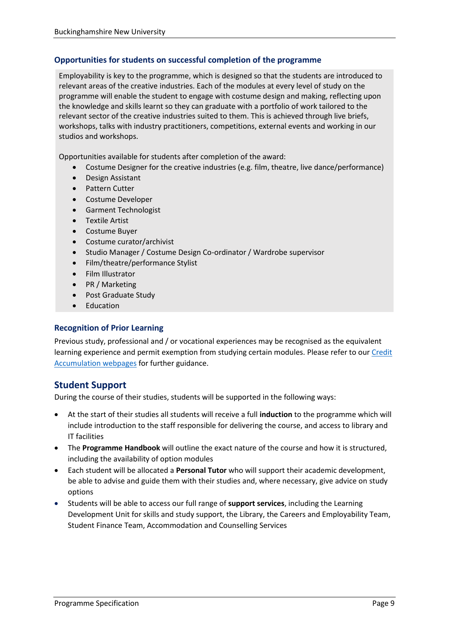# **Opportunities for students on successful completion of the programme**

Employability is key to the programme, which is designed so that the students are introduced to relevant areas of the creative industries. Each of the modules at every level of study on the programme will enable the student to engage with costume design and making, reflecting upon the knowledge and skills learnt so they can graduate with a portfolio of work tailored to the relevant sector of the creative industries suited to them. This is achieved through live briefs, workshops, talks with industry practitioners, competitions, external events and working in our studios and workshops.

Opportunities available for students after completion of the award:

- Costume Designer for the creative industries (e.g. film, theatre, live dance/performance)
- Design Assistant
- **•** Pattern Cutter
- Costume Developer
- **•** Garment Technologist
- Textile Artist
- Costume Buyer
- Costume curator/archivist
- Studio Manager / Costume Design Co-ordinator / Wardrobe supervisor
- Film/theatre/performance Stylist
- Film Illustrator
- PR / Marketing
- Post Graduate Study
- Education

## **Recognition of Prior Learning**

Previous study, professional and / or vocational experiences may be recognised as the equivalent learning experience and permit exemption from studying certain modules. Please refer to ou[r Credit](https://bucks.ac.uk/students/academicadvice/managing-your-studies/credit-accumulation)  [Accumulation webpages](https://bucks.ac.uk/students/academicadvice/managing-your-studies/credit-accumulation) for further guidance.

# **Student Support**

During the course of their studies, students will be supported in the following ways:

- At the start of their studies all students will receive a full **induction** to the programme which will include introduction to the staff responsible for delivering the course, and access to library and IT facilities
- The **Programme Handbook** will outline the exact nature of the course and how it is structured, including the availability of option modules
- Each student will be allocated a **Personal Tutor** who will support their academic development, be able to advise and guide them with their studies and, where necessary, give advice on study options
- Students will be able to access our full range of **support services**, including the Learning Development Unit for skills and study support, the Library, the Careers and Employability Team, Student Finance Team, Accommodation and Counselling Services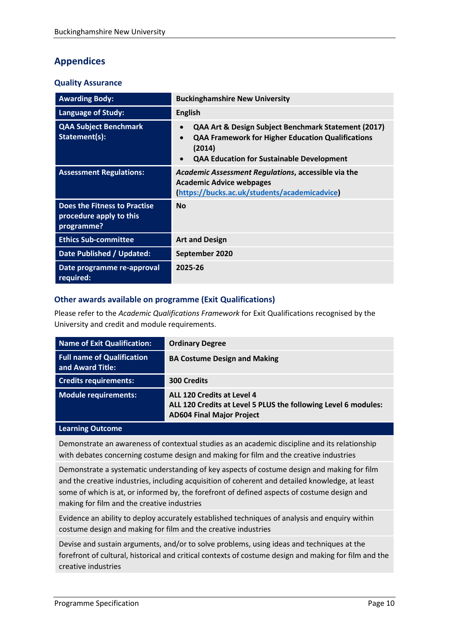# **Appendices**

## **Quality Assurance**

| <b>Awarding Body:</b>                                                        | <b>Buckinghamshire New University</b>                                                                                                                                                                                |
|------------------------------------------------------------------------------|----------------------------------------------------------------------------------------------------------------------------------------------------------------------------------------------------------------------|
| <b>Language of Study:</b>                                                    | <b>English</b>                                                                                                                                                                                                       |
| <b>QAA Subject Benchmark</b><br>Statement(s):                                | QAA Art & Design Subject Benchmark Statement (2017)<br>$\bullet$<br><b>QAA Framework for Higher Education Qualifications</b><br>$\bullet$<br>(2014)<br><b>QAA Education for Sustainable Development</b><br>$\bullet$ |
| <b>Assessment Regulations:</b>                                               | Academic Assessment Regulations, accessible via the<br><b>Academic Advice webpages</b><br>https://bucks.ac.uk/students/academicadvice                                                                                |
| <b>Does the Fitness to Practise</b><br>procedure apply to this<br>programme? | <b>No</b>                                                                                                                                                                                                            |
| <b>Ethics Sub-committee</b>                                                  | <b>Art and Design</b>                                                                                                                                                                                                |
| Date Published / Updated:                                                    | September 2020                                                                                                                                                                                                       |
| Date programme re-approval<br>required:                                      | 2025-26                                                                                                                                                                                                              |

# **Other awards available on programme (Exit Qualifications)**

Please refer to the *Academic Qualifications Framework* for Exit Qualifications recognised by the University and credit and module requirements.

| <b>Name of Exit Qualification:</b>                    | <b>Ordinary Degree</b>                                                                                                           |
|-------------------------------------------------------|----------------------------------------------------------------------------------------------------------------------------------|
| <b>Full name of Qualification</b><br>and Award Title: | <b>BA Costume Design and Making</b>                                                                                              |
| <b>Credits requirements:</b>                          | <b>300 Credits</b>                                                                                                               |
| <b>Module requirements:</b>                           | ALL 120 Credits at Level 4<br>ALL 120 Credits at Level 5 PLUS the following Level 6 modules:<br><b>AD604 Final Major Project</b> |

#### **Learning Outcome**

Demonstrate an awareness of contextual studies as an academic discipline and its relationship with debates concerning costume design and making for film and the creative industries

Demonstrate a systematic understanding of key aspects of costume design and making for film and the creative industries, including acquisition of coherent and detailed knowledge, at least some of which is at, or informed by, the forefront of defined aspects of costume design and making for film and the creative industries

Evidence an ability to deploy accurately established techniques of analysis and enquiry within costume design and making for film and the creative industries

Devise and sustain arguments, and/or to solve problems, using ideas and techniques at the forefront of cultural, historical and critical contexts of costume design and making for film and the creative industries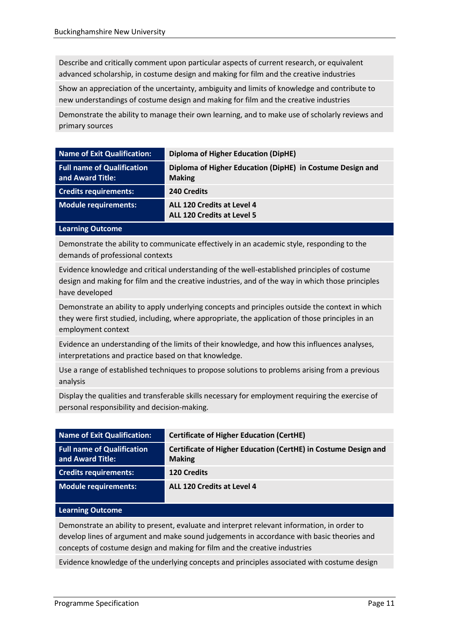Describe and critically comment upon particular aspects of current research, or equivalent advanced scholarship, in costume design and making for film and the creative industries

Show an appreciation of the uncertainty, ambiguity and limits of knowledge and contribute to new understandings of costume design and making for film and the creative industries

Demonstrate the ability to manage their own learning, and to make use of scholarly reviews and primary sources

| <b>Name of Exit Qualification:</b>                    | <b>Diploma of Higher Education (DipHE)</b>                                 |
|-------------------------------------------------------|----------------------------------------------------------------------------|
| <b>Full name of Qualification</b><br>and Award Title: | Diploma of Higher Education (DipHE) in Costume Design and<br><b>Making</b> |
| <b>Credits requirements:</b>                          | 240 Credits                                                                |
| <b>Module requirements:</b>                           | ALL 120 Credits at Level 4<br><b>ALL 120 Credits at Level 5</b>            |

#### **Learning Outcome**

Demonstrate the ability to communicate effectively in an academic style, responding to the demands of professional contexts

Evidence knowledge and critical understanding of the well-established principles of costume design and making for film and the creative industries, and of the way in which those principles have developed

Demonstrate an ability to apply underlying concepts and principles outside the context in which they were first studied, including, where appropriate, the application of those principles in an employment context

Evidence an understanding of the limits of their knowledge, and how this influences analyses, interpretations and practice based on that knowledge.

Use a range of established techniques to propose solutions to problems arising from a previous analysis

Display the qualities and transferable skills necessary for employment requiring the exercise of personal responsibility and decision-making.

| Name of Exit Qualification:                           | <b>Certificate of Higher Education (CertHE)</b>                                 |
|-------------------------------------------------------|---------------------------------------------------------------------------------|
| <b>Full name of Qualification</b><br>and Award Title: | Certificate of Higher Education (CertHE) in Costume Design and<br><b>Making</b> |
| <b>Credits requirements:</b>                          | <b>120 Credits</b>                                                              |
| Module requirements:                                  | ALL 120 Credits at Level 4                                                      |

#### **Learning Outcome**

Demonstrate an ability to present, evaluate and interpret relevant information, in order to develop lines of argument and make sound judgements in accordance with basic theories and concepts of costume design and making for film and the creative industries

Evidence knowledge of the underlying concepts and principles associated with costume design